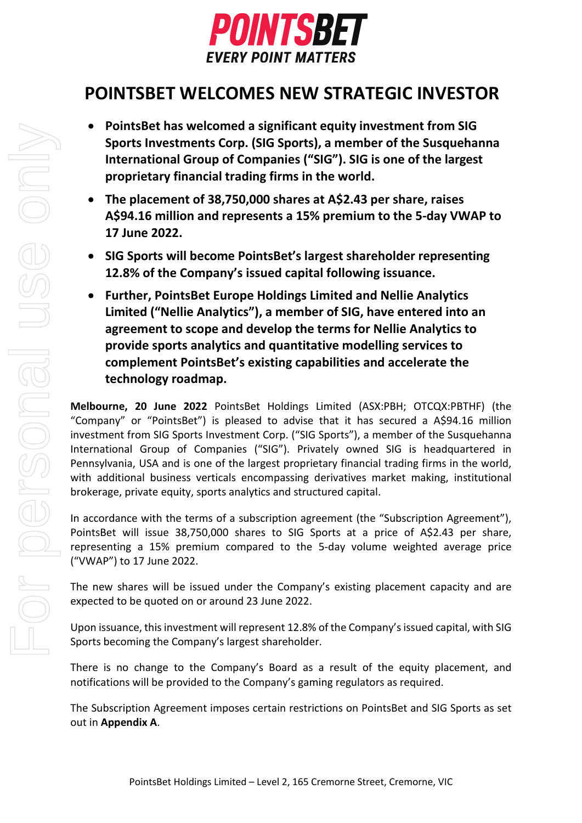

# **POINTSBET WELCOMES NEW STRATEGIC INVESTOR**

- **PointsBet has welcomed a significant equity investment from SIG Sports Investments Corp. (SIG Sports), a member of the Susquehanna International Group of Companies ("SIG"). SIG is one of the largest proprietary financial trading firms in the world.**
- **The placement of 38,750,000 shares at A\$2.43 per share, raises A\$94.16 million and represents a 15% premium to the 5-day VWAP to 17 June 2022.**
- **SIG Sports will become PointsBet's largest shareholder representing 12.8% of the Company's issued capital following issuance.**
- **Further, PointsBet Europe Holdings Limited and Nellie Analytics Limited ("Nellie Analytics"), a member of SIG, have entered into an agreement to scope and develop the terms for Nellie Analytics to provide sports analytics and quantitative modelling services to complement PointsBet's existing capabilities and accelerate the technology roadmap.**

**Melbourne, 20 June 2022** PointsBet Holdings Limited (ASX:PBH; OTCQX:PBTHF) (the "Company" or "PointsBet") is pleased to advise that it has secured a A\$94.16 million investment from SIG Sports Investment Corp. ("SIG Sports"), a member of the Susquehanna International Group of Companies ("SIG"). Privately owned SIG is headquartered in Pennsylvania, USA and is one of the largest proprietary financial trading firms in the world, with additional business verticals encompassing derivatives market making, institutional brokerage, private equity, sports analytics and structured capital.

In accordance with the terms of a subscription agreement (the "Subscription Agreement"), PointsBet will issue 38,750,000 shares to SIG Sports at a price of A\$2.43 per share, representing a 15% premium compared to the 5-day volume weighted average price ("VWAP") to 17 June 2022.

The new shares will be issued under the Company's existing placement capacity and are expected to be quoted on or around 23 June 2022.

Upon issuance, this investment will represent 12.8% of the Company's issued capital, with SIG Sports becoming the Company's largest shareholder.

There is no change to the Company's Board as a result of the equity placement, and notifications will be provided to the Company's gaming regulators as required.

The Subscription Agreement imposes certain restrictions on PointsBet and SIG Sports as set out in **Appendix A**.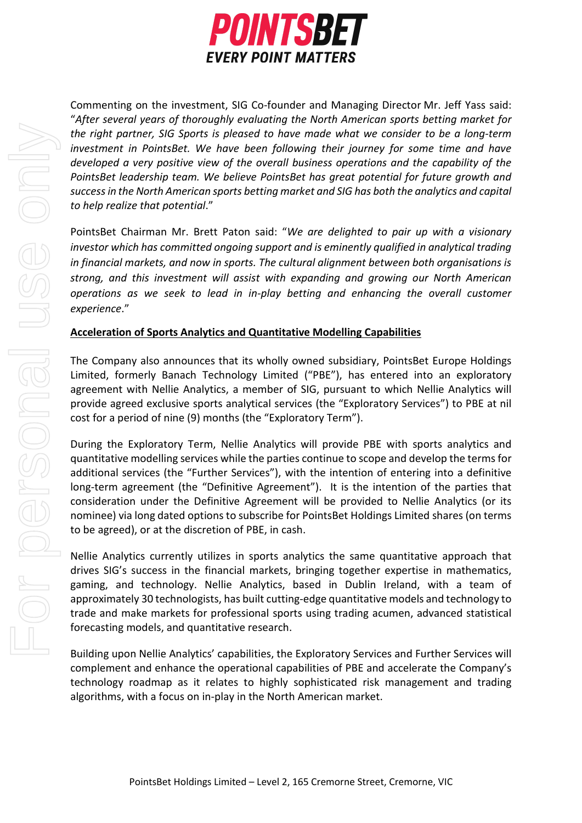

Commenting on the investment, SIG Co-founder and Managing Director Mr. Jeff Yass said: "*After several years of thoroughly evaluating the North American sports betting market for the right partner, SIG Sports is pleased to have made what we consider to be a long-term investment in PointsBet. We have been following their journey for some time and have developed a very positive view of the overall business operations and the capability of the PointsBet leadership team. We believe PointsBet has great potential for future growth and success in the North American sports betting market and SIG has both the analytics and capital to help realize that potential*."

PointsBet Chairman Mr. Brett Paton said: "*We are delighted to pair up with a visionary investor which has committed ongoing support and is eminently qualified in analytical trading in financial markets, and now in sports. The cultural alignment between both organisations is strong, and this investment will assist with expanding and growing our North American operations as we seek to lead in in-play betting and enhancing the overall customer experience*."

## **Acceleration of Sports Analytics and Quantitative Modelling Capabilities**

The Company also announces that its wholly owned subsidiary, PointsBet Europe Holdings Limited, formerly Banach Technology Limited ("PBE"), has entered into an exploratory agreement with Nellie Analytics, a member of SIG, pursuant to which Nellie Analytics will provide agreed exclusive sports analytical services (the "Exploratory Services") to PBE at nil cost for a period of nine (9) months (the "Exploratory Term").

During the Exploratory Term, Nellie Analytics will provide PBE with sports analytics and quantitative modelling services while the parties continue to scope and develop the terms for additional services (the "Further Services"), with the intention of entering into a definitive long-term agreement (the "Definitive Agreement"). It is the intention of the parties that consideration under the Definitive Agreement will be provided to Nellie Analytics (or its nominee) via long dated options to subscribe for PointsBet Holdings Limited shares (on terms to be agreed), or at the discretion of PBE, in cash.

Nellie Analytics currently utilizes in sports analytics the same quantitative approach that drives SIG's success in the financial markets, bringing together expertise in mathematics, gaming, and technology. Nellie Analytics, based in Dublin Ireland, with a team of approximately 30 technologists, has built cutting-edge quantitative models and technology to trade and make markets for professional sports using trading acumen, advanced statistical forecasting models, and quantitative research.

Building upon Nellie Analytics' capabilities, the Exploratory Services and Further Services will complement and enhance the operational capabilities of PBE and accelerate the Company's technology roadmap as it relates to highly sophisticated risk management and trading algorithms, with a focus on in-play in the North American market.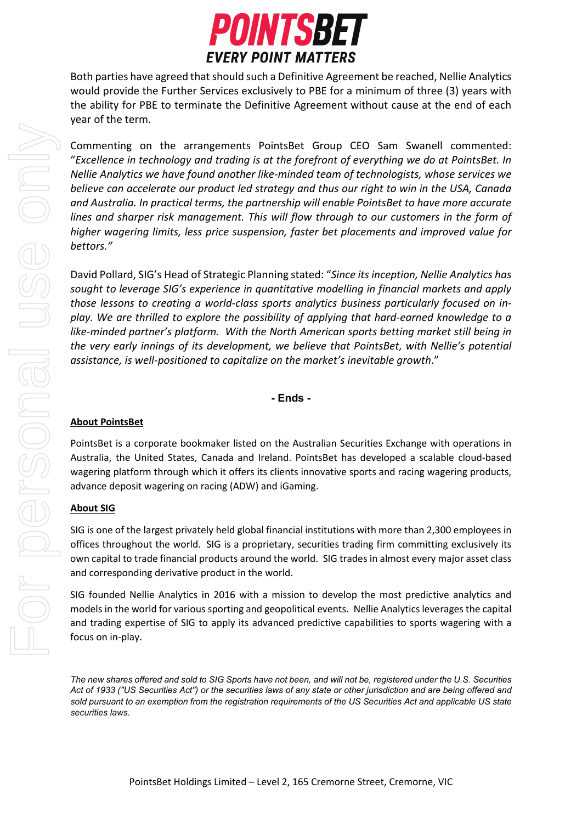

Both parties have agreed that should such a Definitive Agreement be reached, Nellie Analytics would provide the Further Services exclusively to PBE for a minimum of three (3) years with the ability for PBE to terminate the Definitive Agreement without cause at the end of each year of the term.

Commenting on the arrangements PointsBet Group CEO Sam Swanell commented: "*Excellence in technology and trading is at the forefront of everything we do at PointsBet. In Nellie Analytics we have found another like-minded team of technologists, whose services we believe can accelerate our product led strategy and thus our right to win in the USA, Canada and Australia. In practical terms, the partnership will enable PointsBet to have more accurate lines and sharper risk management. This will flow through to our customers in the form of higher wagering limits, less price suspension, faster bet placements and improved value for bettors."*

David Pollard, SIG's Head of Strategic Planning stated: "*Since its inception, Nellie Analytics has sought to leverage SIG's experience in quantitative modelling in financial markets and apply those lessons to creating a world-class sports analytics business particularly focused on inplay. We are thrilled to explore the possibility of applying that hard-earned knowledge to a like-minded partner's platform. With the North American sports betting market still being in the very early innings of its development, we believe that PointsBet, with Nellie's potential assistance, is well-positioned to capitalize on the market's inevitable growth*."

## **- Ends -**

## **About PointsBet**

PointsBet is a corporate bookmaker listed on the Australian Securities Exchange with operations in Australia, the United States, Canada and Ireland. PointsBet has developed a scalable cloud-based wagering platform through which it offers its clients innovative sports and racing wagering products, advance deposit wagering on racing (ADW) and iGaming.

#### **About SIG**

SIG is one of the largest privately held global financial institutions with more than 2,300 employees in offices throughout the world. SIG is a proprietary, securities trading firm committing exclusively its own capital to trade financial products around the world. SIG trades in almost every major asset class and corresponding derivative product in the world.

SIG founded Nellie Analytics in 2016 with a mission to develop the most predictive analytics and models in the world for various sporting and geopolitical events. Nellie Analytics leverages the capital and trading expertise of SIG to apply its advanced predictive capabilities to sports wagering with a focus on in-play.

*The new shares offered and sold to SIG Sports have not been, and will not be, registered under the U.S. Securities Act of 1933 ("US Securities Act") or the securities laws of any state or other jurisdiction and are being offered and sold pursuant to an exemption from the registration requirements of the US Securities Act and applicable US state securities laws.*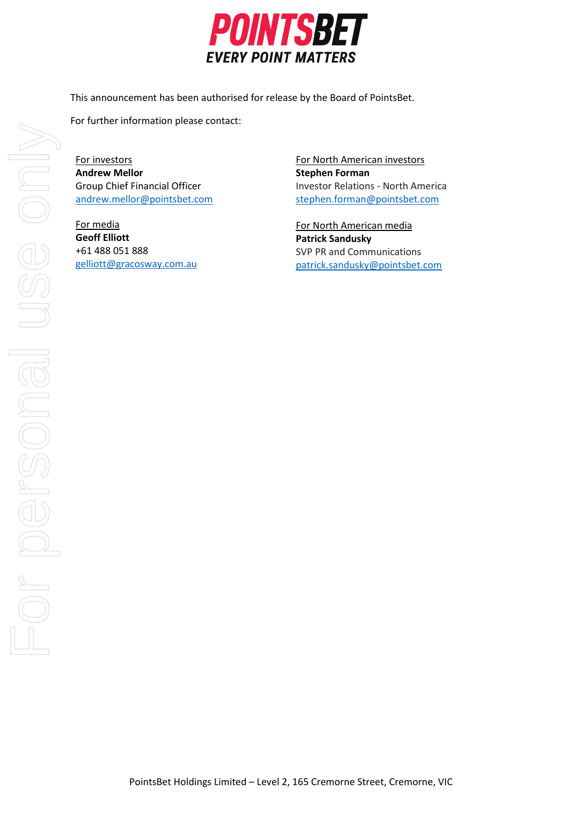

This announcement has been authorised for release by the Board of PointsBet.

For further information please contact:

For investors **Andrew Mellor** Group Chief Financial Officer [andrew.mellor@pointsbet.com](mailto:andrew.mellor@pointsbet.com)

For media **Geoff Elliott**  +61 488 051 888 [gelliott@gracosway.com.au](mailto:gelliott@gracosway.com.au) For North American investors **Stephen Forman**  Investor Relations - North America [stephen.forman@pointsbet.com](mailto:stephen.forman@pointsbet.com)

For North American media **Patrick Sandusky** SVP PR and Communications patrick.sandusky@pointsbet.com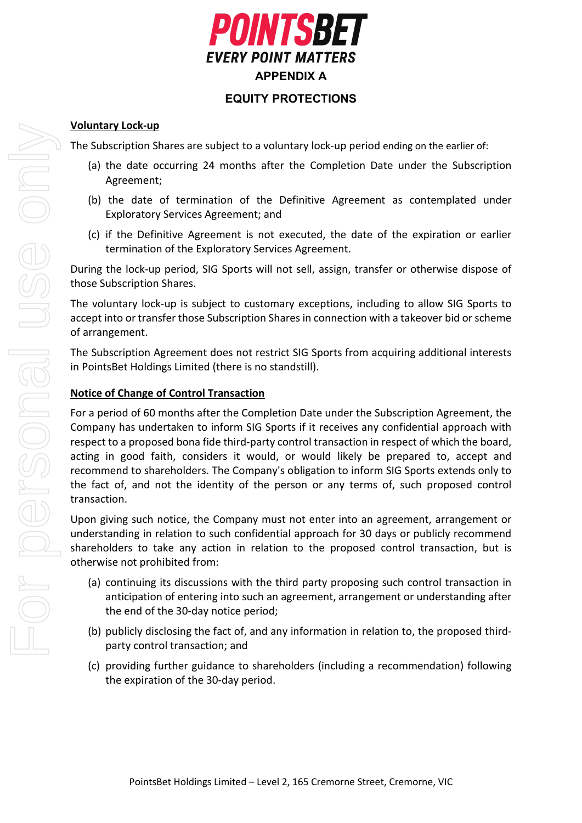

# **EQUITY PROTECTIONS**

## **Voluntary Lock-up**

The Subscription Shares are subject to a voluntary lock-up period ending on the earlier of:

- (a) the date occurring 24 months after the Completion Date under the Subscription Agreement;
- (b) the date of termination of the Definitive Agreement as contemplated under Exploratory Services Agreement; and
- (c) if the Definitive Agreement is not executed, the date of the expiration or earlier termination of the Exploratory Services Agreement.

During the lock-up period, SIG Sports will not sell, assign, transfer or otherwise dispose of those Subscription Shares.

The voluntary lock-up is subject to customary exceptions, including to allow SIG Sports to accept into or transfer those Subscription Shares in connection with a takeover bid or scheme of arrangement.

The Subscription Agreement does not restrict SIG Sports from acquiring additional interests in PointsBet Holdings Limited (there is no standstill).

# **Notice of Change of Control Transaction**

For a period of 60 months after the Completion Date under the Subscription Agreement, the Company has undertaken to inform SIG Sports if it receives any confidential approach with respect to a proposed bona fide third-party control transaction in respect of which the board, acting in good faith, considers it would, or would likely be prepared to, accept and recommend to shareholders. The Company's obligation to inform SIG Sports extends only to the fact of, and not the identity of the person or any terms of, such proposed control transaction.

Upon giving such notice, the Company must not enter into an agreement, arrangement or understanding in relation to such confidential approach for 30 days or publicly recommend shareholders to take any action in relation to the proposed control transaction, but is otherwise not prohibited from:

- (a) continuing its discussions with the third party proposing such control transaction in anticipation of entering into such an agreement, arrangement or understanding after the end of the 30-day notice period;
- (b) publicly disclosing the fact of, and any information in relation to, the proposed thirdparty control transaction; and
- (c) providing further guidance to shareholders (including a recommendation) following the expiration of the 30-day period.